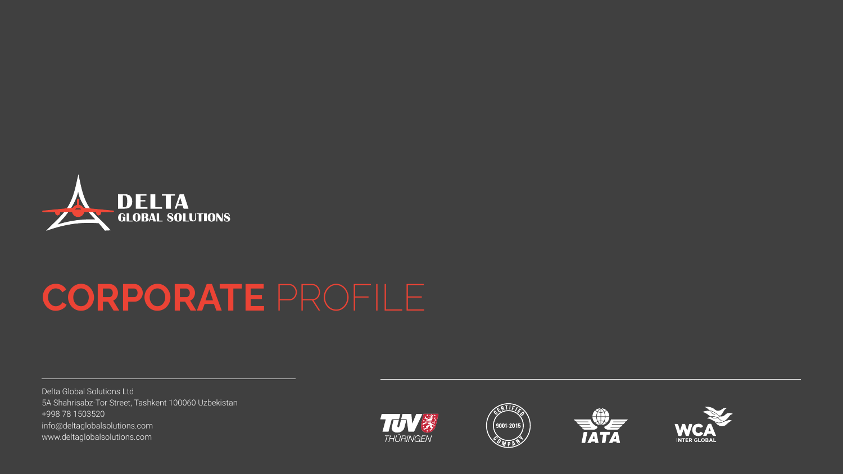

# **CORPORATE** PROFILE

Delta Global Solutions Ltd 5A Shahrisabz-Tor Street, Tashkent 100060 Uzbekistan +998 78 1503520 info@deltaglobalsolutions.com www.deltaglobalsolutions.com







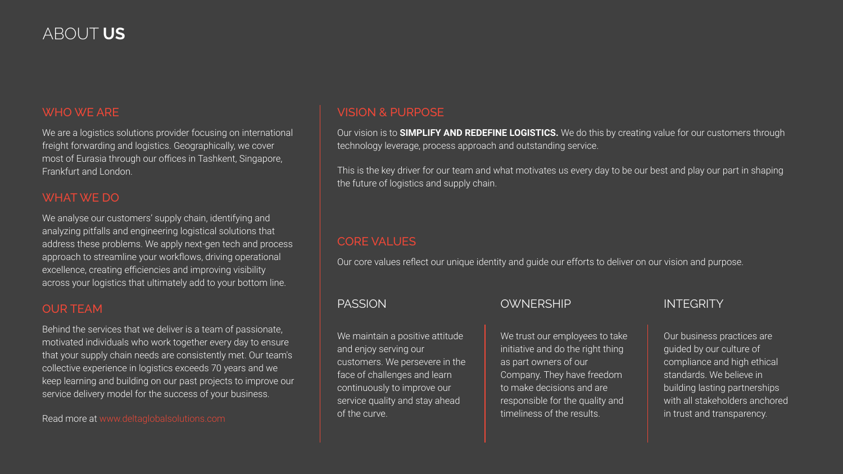### ABOUT **US**

### WHO WE ARE

We are a logistics solutions provider focusing on international freight forwarding and logistics. Geographically, we cover most of Eurasia through our offices in Tashkent, Singapore, Frankfurt and London.

### WHAT WE DO

We analyse our customers' supply chain, identifying and analyzing pitfalls and engineering logistical solutions that address these problems. We apply next-gen tech and process approach to streamline your workflows, driving operational excellence, creating efficiencies and improving visibility across your logistics that ultimately add to your bottom line.

### OUR TEAM

Behind the services that we deliver is a team of passionate, motivated individuals who work together every day to ensure that your supply chain needs are consistently met. Our team's collective experience in logistics exceeds 70 years and we keep learning and building on our past projects to improve our service delivery model for the success of your business.

Read more at www.deltaglobalsolutions.com

### VISION & PURPOSE

Our vision is to **SIMPLIFY AND REDEFINE LOGISTICS.** We do this by creating value for our customers through technology leverage, process approach and outstanding service.

This is the key driver for our team and what motivates us every day to be our best and play our part in shaping the future of logistics and supply chain.

### CORE VALUES

Our core values reflect our unique identity and guide our efforts to deliver on our vision and purpose.

### PASSION

We maintain a positive attitude and enjoy serving our customers. We persevere in the face of challenges and learn continuously to improve our service quality and stay ahead of the curve.

### **OWNERSHIP**

We trust our employees to take initiative and do the right thing as part owners of our Company. They have freedom to make decisions and are responsible for the quality and timeliness of the results.

### **INTFGRITY**

Our business practices are guided by our culture of compliance and high ethical standards. We believe in building lasting partnerships with all stakeholders anchored in trust and transparency.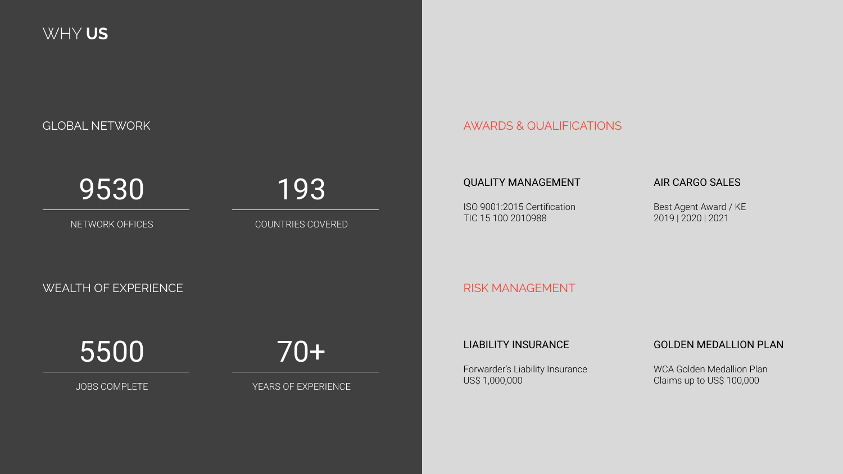WHY **US**

GLOBAL NETWORK AND THE RESERVE OF THE RESERVE OF THE RESERVE OF THE RESERVE OF THE RESERVE OF THE RESERVE OF T

9530

NETWORK OFFICES

COUNTRIES COVERED

193

#### QUALITY MANAGEMENT

ISO 9001:2015 Certification TIC 15 100 2010988

AIR CARGO SALES

Best Agent Award / KE 2019 | 2020 | 2021

RISK MANAGEMENT

5500

WEALTH OF EXPERIENCE

JOBS COMPLETE

70+

YEARS OF EXPERIENCE

LIABILITY INSURANCE

Forwarder's Liability Insurance US\$ 1,000,000

### GOLDEN MEDALLION PLAN

WCA Golden Medallion Plan Claims up to US\$ 100,000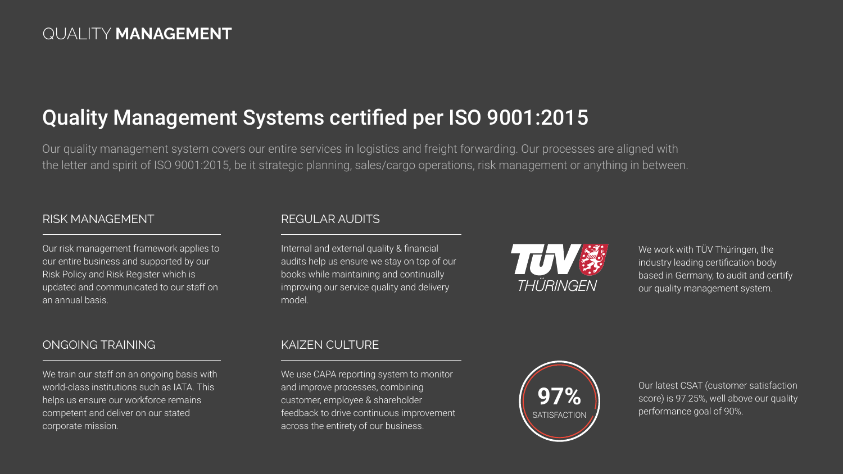## Quality Management Systems certified per ISO 9001:2015

Our quality management system covers our entire services in logistics and freight forwarding. Our processes are aligned with the letter and spirit of ISO 9001:2015, be it strategic planning, sales/cargo operations, risk management or anything in between.

### RISK MANAGEMENT

Our risk management framework applies to our entire business and supported by our Risk Policy and Risk Register which is updated and communicated to our staff on an annual basis.

### ONGOING TRAINING

We train our staff on an ongoing basis with world-class institutions such as IATA. This helps us ensure our workforce remains competent and deliver on our stated corporate mission.

### REGULAR AUDITS

Internal and external quality & financial audits help us ensure we stay on top of our books while maintaining and continually improving our service quality and delivery model.



We work with TÜV Thüringen, the industry leading certification body based in Germany, to audit and certify our quality management system.

### KAIZEN CULTURE

We use CAPA reporting system to monitor and improve processes, combining customer, employee & shareholder feedback to drive continuous improvement across the entirety of our business.



Our latest CSAT (customer satisfaction score) is 97.25%, well above our quality performance goal of 90%.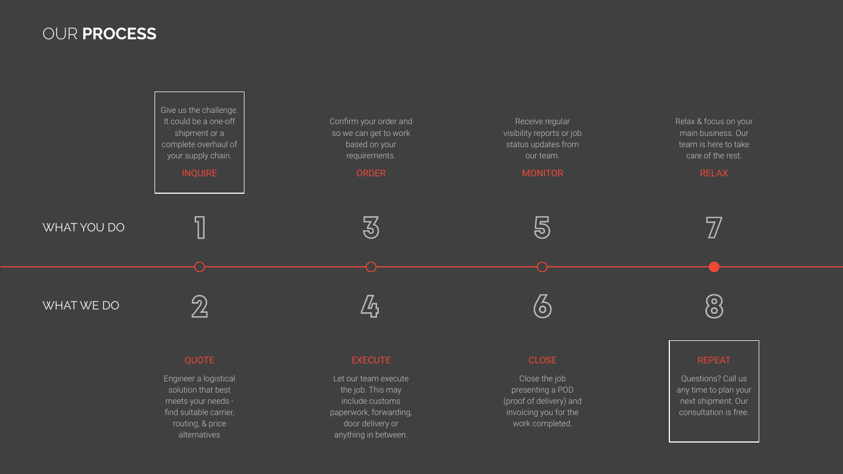### OUR **PROCESS**



Engineer a logistical solution that best meets your needs find suitable carrier, routing, & price alternatives

Let our team execute the job. This may include customs paperwork, forwarding, door delivery or anything in between.

Close the job presenting a POD (proof of delivery) and invoicing you for the work completed.

Questions? Call us any time to plan your next shipment. Our consultation is free.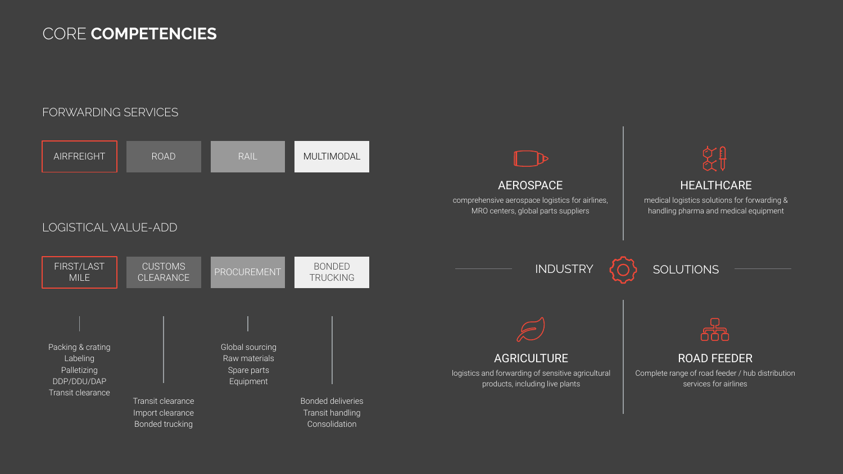### CORE **COMPETENCIES**

### FORWARDING SERVICES

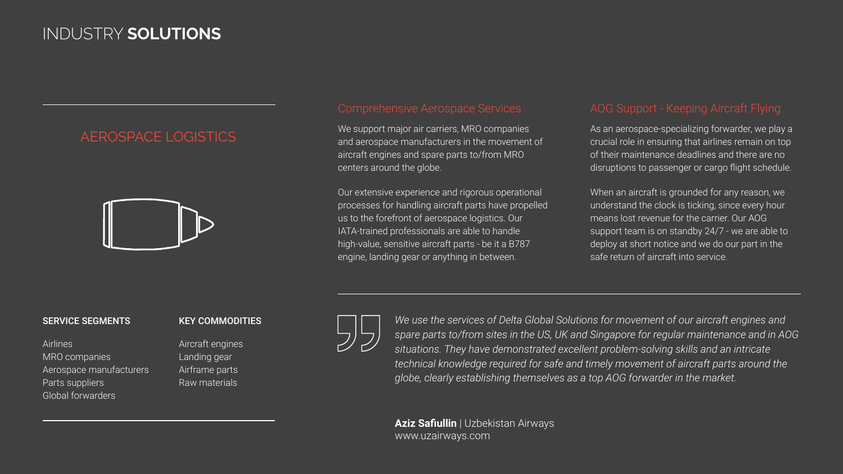### INDUSTRY **SOLUTIONS**

### AEROSPACE LOGISTICS



We support major air carriers, MRO companies and aerospace manufacturers in the movement of aircraft engines and spare parts to/from MRO centers around the globe.

Our extensive experience and rigorous operational processes for handling aircraft parts have propelled us to the forefront of aerospace logistics. Our IATA-trained professionals are able to handle high-value, sensitive aircraft parts - be it a B787 engine, landing gear or anything in between.

As an aerospace-specializing forwarder, we play a crucial role in ensuring that airlines remain on top of their maintenance deadlines and there are no disruptions to passenger or cargo flight schedule.

When an aircraft is grounded for any reason, we understand the clock is ticking, since every hour means lost revenue for the carrier. Our AOG support team is on standby 24/7 - we are able to deploy at short notice and we do our part in the safe return of aircraft into service.

### SERVICE SEGMENTS

Airlines MRO companies Aerospace manufacturers Parts suppliers Global forwarders

### KEY COMMODITIES

Aircraft engines Landing gear Airframe parts Raw materials



*We use the services of Delta Global Solutions for movement of our aircraft engines and spare parts to/from sites in the US, UK and Singapore for regular maintenance and in AOG situations. They have demonstrated excellent problem-solving skills and an intricate technical knowledge required for safe and timely movement of aircraft parts around the globe, clearly establishing themselves as a top AOG forwarder in the market.*

**Aziz Safiullin** | Uzbekistan Airways www.uzairways.com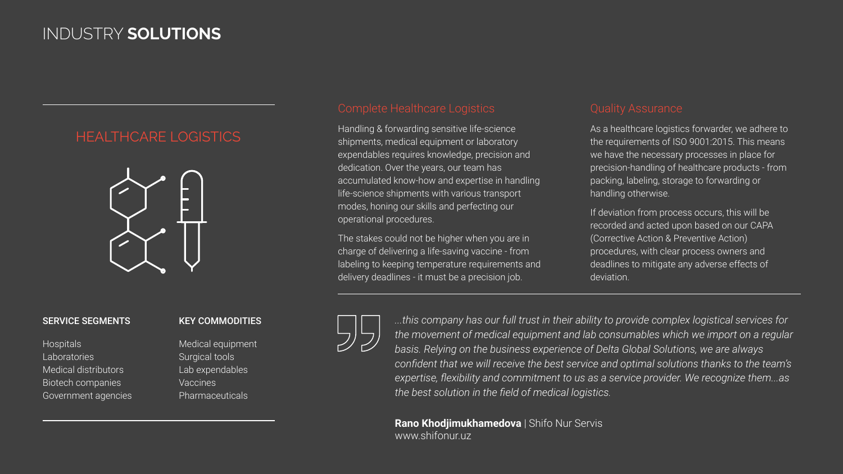### INDUSTRY **SOLUTIONS**

### HEALTHCARE LOGISTICS



#### SERVICE SEGMENTS

**Hospitals** Laboratories Medical distributors Biotech companies Government agencies

### KEY COMMODITIES

Medical equipment Surgical tools Lab expendables Vaccines Pharmaceuticals

Handling & forwarding sensitive life-science shipments, medical equipment or laboratory expendables requires knowledge, precision and dedication. Over the years, our team has accumulated know-how and expertise in handling life-science shipments with various transport modes, honing our skills and perfecting our operational procedures.

The stakes could not be higher when you are in charge of delivering a life-saving vaccine - from labeling to keeping temperature requirements and delivery deadlines - it must be a precision job.

As a healthcare logistics forwarder, we adhere to the requirements of ISO 9001:2015. This means we have the necessary processes in place for precision-handling of healthcare products - from packing, labeling, storage to forwarding or handling otherwise.

If deviation from process occurs, this will be recorded and acted upon based on our CAPA (Corrective Action & Preventive Action) procedures, with clear process owners and deadlines to mitigate any adverse effects of deviation.

*...this company has our full trust in their ability to provide complex logistical services for the movement of medical equipment and lab consumables which we import on a regular basis. Relying on the business experience of Delta Global Solutions, we are always confident that we will receive the best service and optimal solutions thanks to the team's expertise, flexibility and commitment to us as a service provider. We recognize them...as the best solution in the field of medical logistics.*

**Rano Khodjimukhamedova** | Shifo Nur Servis www.shifonur.uz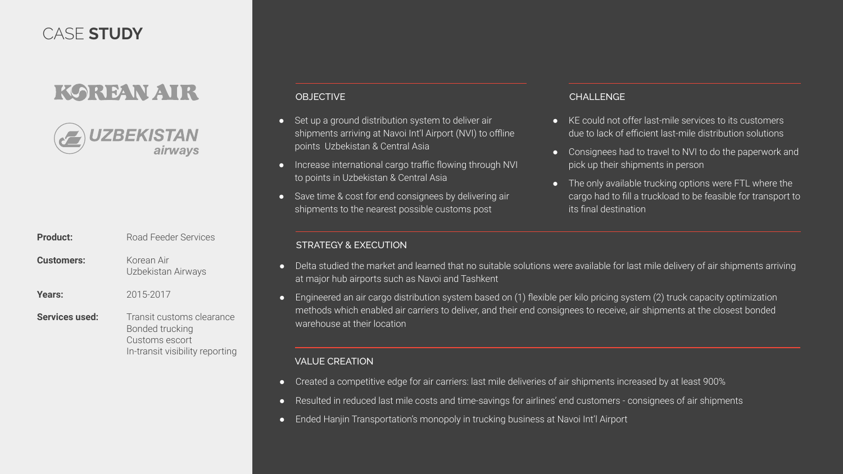## CASE **STUDY**

## KOREAN ATR

ZBEKISTAN airways

| Product:          | Road Feeder Services                                                                              |  |
|-------------------|---------------------------------------------------------------------------------------------------|--|
| <b>Customers:</b> | Korean Air<br>Uzbekistan Airways                                                                  |  |
| Years:            | 2015-2017                                                                                         |  |
| Services used:    | Transit customs clearance<br>Bonded trucking<br>Customs escort<br>In-transit visibility reporting |  |

### OBJECTIVE

- Set up a ground distribution system to deliver air shipments arriving at Navoi Int'l Airport (NVI) to offline points Uzbekistan & Central Asia
- Increase international cargo traffic flowing through NVI to points in Uzbekistan & Central Asia
- Save time & cost for end consignees by delivering air shipments to the nearest possible customs post

#### STRATEGY & EXECUTION

#### CHALL ENGE

- KE could not offer last-mile services to its customers due to lack of efficient last-mile distribution solutions
- Consignees had to travel to NVI to do the paperwork and pick up their shipments in person
- The only available trucking options were FTL where the cargo had to fill a truckload to be feasible for transport to its final destination
- Delta studied the market and learned that no suitable solutions were available for last mile delivery of air shipments arriving at major hub airports such as Navoi and Tashkent
- Engineered an air cargo distribution system based on (1) flexible per kilo pricing system (2) truck capacity optimization methods which enabled air carriers to deliver, and their end consignees to receive, air shipments at the closest bonded warehouse at their location

#### VALUE CREATION

- Created a competitive edge for air carriers: last mile deliveries of air shipments increased by at least 900%
- Resulted in reduced last mile costs and time-savings for airlines' end customers consignees of air shipments
- Ended Hanjin Transportation's monopoly in trucking business at Navoi Int'l Airport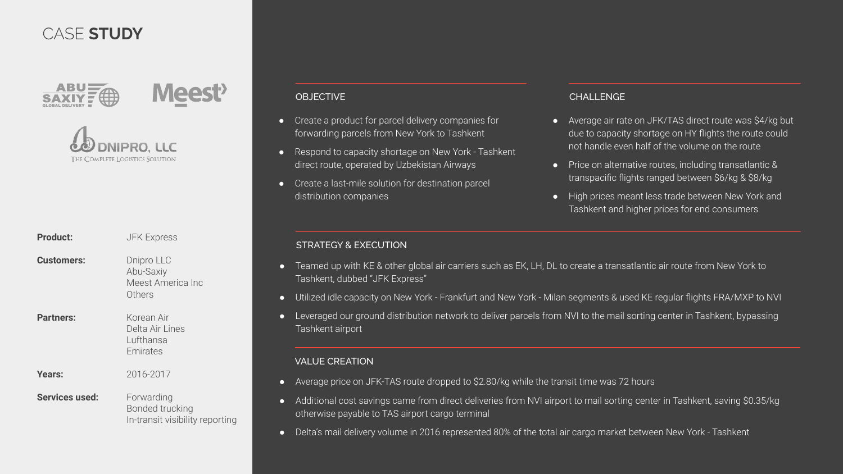### CASE **STUDY**



### OBJECTIVE

- Create a product for parcel delivery companies for forwarding parcels from New York to Tashkent
- Respond to capacity shortage on New York Tashkent direct route, operated by Uzbekistan Airways
- Create a last-mile solution for destination parcel distribution companies

#### CHALL ENGE

- Average air rate on JFK/TAS direct route was \$4/kg but due to capacity shortage on HY flights the route could not handle even half of the volume on the route
- Price on alternative routes, including transatlantic & transpacific flights ranged between \$6/kg & \$8/kg
- High prices meant less trade between New York and Tashkent and higher prices for end consumers

#### STRATEGY & EXECUTION

- Teamed up with KE & other global air carriers such as EK, LH, DL to create a transatlantic air route from New York to Tashkent, dubbed "JFK Express"
- Utilized idle capacity on New York Frankfurt and New York Milan segments & used KE regular flights FRA/MXP to NVI
- Leveraged our ground distribution network to deliver parcels from NVI to the mail sorting center in Tashkent, bypassing Tashkent airport

#### VALUE CREATION

- Average price on JFK-TAS route dropped to \$2.80/kg while the transit time was 72 hours
- Additional cost savings came from direct deliveries from NVI airport to mail sorting center in Tashkent, saving \$0.35/kg otherwise payable to TAS airport cargo terminal
- Delta's mail delivery volume in 2016 represented 80% of the total air cargo market between New York Tashkent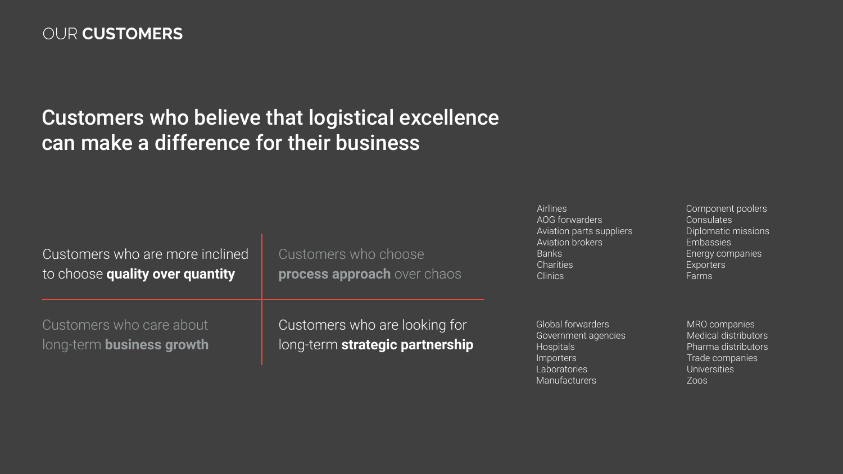### OUR **CUSTOMERS**

## Customers who believe that logistical excellence can make a difference for their business

| Customers who are more inclined<br>to choose quality over quantity | Customers who choose<br>process approach over chaos              | Airlines<br>AOG forwarders<br>Aviation parts suppliers<br>Aviation brokers<br><b>Banks</b><br>Charities<br><b>Clinics</b> | Component poolers<br>Consulates<br>Diplomatic missions<br>Embassies<br>Energy companies<br>Exporters<br>Farms |
|--------------------------------------------------------------------|------------------------------------------------------------------|---------------------------------------------------------------------------------------------------------------------------|---------------------------------------------------------------------------------------------------------------|
| Customers who care about<br>long-term business growth              | Customers who are looking for<br>long-term strategic partnership | Global forwarders<br>Government agencies<br>Hospitals<br><i>Importers</i><br><b>Laboratories</b>                          | MRO companies<br>Medical distributors<br>Pharma distributors<br>Trade companies<br><b>Universities</b>        |

Manufacturers

Component poolers

Zoos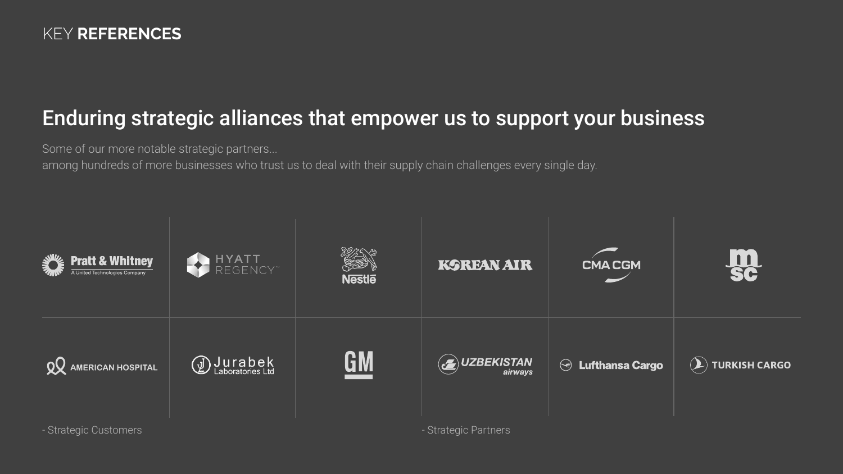## Enduring strategic alliances that empower us to support your business

Some of our more notable strategic partners...

among hundreds of more businesses who trust us to deal with their supply chain challenges every single day.

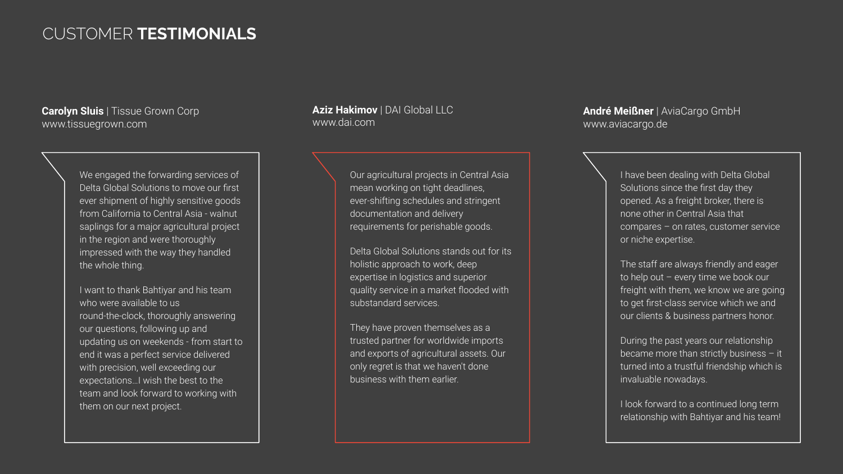### CUSTOMER **TESTIMONIALS**

**Carolyn Sluis** | Tissue Grown Corp www.tissuegrown.com

> We engaged the forwarding services of Delta Global Solutions to move our first ever shipment of highly sensitive goods from California to Central Asia - walnut saplings for a major agricultural project in the region and were thoroughly impressed with the way they handled the whole thing.

I want to thank Bahtiyar and his team who were available to us round-the-clock, thoroughly answering our questions, following up and updating us on weekends - from start to end it was a perfect service delivered with precision, well exceeding our expectations…I wish the best to the team and look forward to working with them on our next project.

**Aziz Hakimov** | DAI Global LLC www.dai.com

> Our agricultural projects in Central Asia mean working on tight deadlines, ever-shifting schedules and stringent documentation and delivery requirements for perishable goods.

Delta Global Solutions stands out for its holistic approach to work, deep expertise in logistics and superior quality service in a market flooded with substandard services.

They have proven themselves as a trusted partner for worldwide imports and exports of agricultural assets. Our only regret is that we haven't done business with them earlier.

**André Meißner** | AviaCargo GmbH www.aviacargo.de

> I have been dealing with Delta Global Solutions since the first day they opened. As a freight broker, there is none other in Central Asia that compares – on rates, customer service or niche expertise.

The staff are always friendly and eager to help out – every time we book our freight with them, we know we are going to get first-class service which we and our clients & business partners honor.

During the past years our relationship became more than strictly business – it turned into a trustful friendship which is invaluable nowadays.

I look forward to a continued long term relationship with Bahtiyar and his team!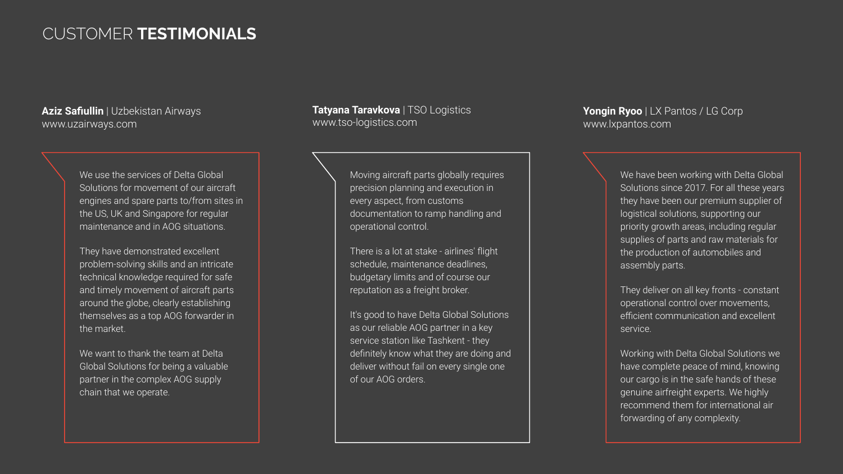### CUSTOMER **TESTIMONIALS**

**Aziz Safiullin** | Uzbekistan Airways www.uzairways.com

> We use the services of Delta Global Solutions for movement of our aircraft engines and spare parts to/from sites in the US, UK and Singapore for regular maintenance and in AOG situations.

They have demonstrated excellent problem-solving skills and an intricate technical knowledge required for safe and timely movement of aircraft parts around the globe, clearly establishing themselves as a top AOG forwarder in the market.

We want to thank the team at Delta Global Solutions for being a valuable partner in the complex AOG supply chain that we operate.

**Tatyana Taravkova** | TSO Logistics www.tso-logistics.com

> Moving aircraft parts globally requires precision planning and execution in every aspect, from customs documentation to ramp handling and operational control.

There is a lot at stake - airlines' flight schedule, maintenance deadlines, budgetary limits and of course our reputation as a freight broker.

It's good to have Delta Global Solutions as our reliable AOG partner in a key service station like Tashkent - they definitely know what they are doing and deliver without fail on every single one of our AOG orders.

**Yongin Ryoo** | LX Pantos / LG Corp www.lxpantos.com

> We have been working with Delta Global Solutions since 2017. For all these years they have been our premium supplier of logistical solutions, supporting our priority growth areas, including regular supplies of parts and raw materials for the production of automobiles and assembly parts.

They deliver on all key fronts - constant operational control over movements, efficient communication and excellent service.

Working with Delta Global Solutions we have complete peace of mind, knowing our cargo is in the safe hands of these genuine airfreight experts. We highly recommend them for international air forwarding of any complexity.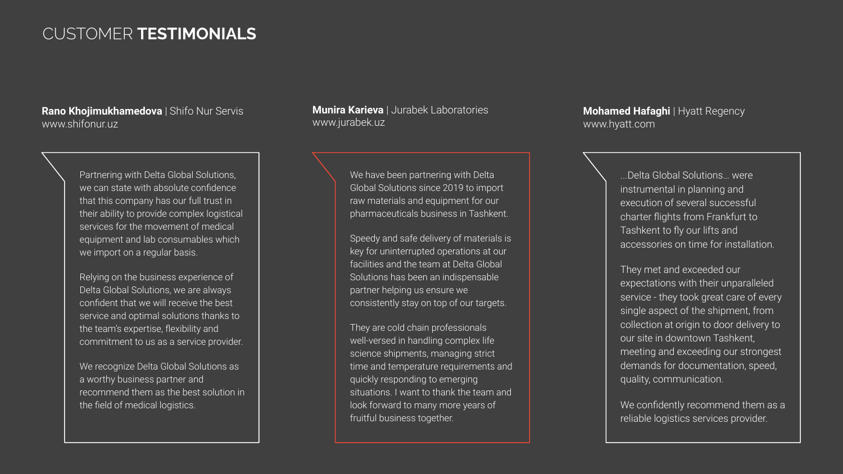### CUSTOMER **TESTIMONIALS**

**Rano Khojimukhamedova** | Shifo Nur Servis www.shifonur.uz

> Partnering with Delta Global Solutions, we can state with absolute confidence that this company has our full trust in their ability to provide complex logistical services for the movement of medical equipment and lab consumables which we import on a regular basis.

> Relying on the business experience of Delta Global Solutions, we are always confident that we will receive the best service and optimal solutions thanks to the team's expertise, flexibility and commitment to us as a service provider.

We recognize Delta Global Solutions as a worthy business partner and recommend them as the best solution in the field of medical logistics.

**Munira Karieva** | Jurabek Laboratories www.jurabek.uz

> We have been partnering with Delta Global Solutions since 2019 to import raw materials and equipment for our pharmaceuticals business in Tashkent.

Speedy and safe delivery of materials is key for uninterrupted operations at our facilities and the team at Delta Global Solutions has been an indispensable partner helping us ensure we consistently stay on top of our targets.

They are cold chain professionals well-versed in handling complex life science shipments, managing strict time and temperature requirements and quickly responding to emerging situations. I want to thank the team and look forward to many more years of fruitful business together.

**Mohamed Hafaghi** | Hyatt Regency www.hyatt.com

> ...Delta Global Solutions… were instrumental in planning and execution of several successful charter flights from Frankfurt to Tashkent to fly our lifts and accessories on time for installation.

They met and exceeded our expectations with their unparalleled service - they took great care of every single aspect of the shipment, from collection at origin to door delivery to our site in downtown Tashkent, meeting and exceeding our strongest demands for documentation, speed, quality, communication.

We confidently recommend them as a reliable logistics services provider.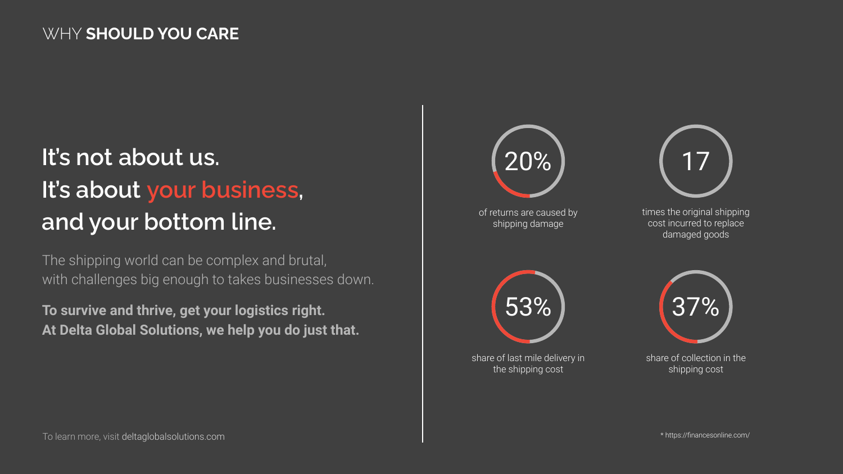# **It's not about us. It's about your business, and your bottom line.**

The shipping world can be complex and brutal, with challenges big enough to takes businesses down.

**To survive and thrive, get your logistics right. At Delta Global Solutions, we help you do just that.**